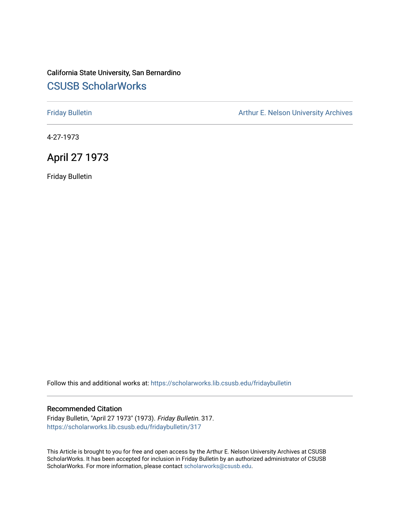## California State University, San Bernardino [CSUSB ScholarWorks](https://scholarworks.lib.csusb.edu/)

[Friday Bulletin](https://scholarworks.lib.csusb.edu/fridaybulletin) **Arthur E. Nelson University Archives** Arthur E. Nelson University Archives

4-27-1973

## April 27 1973

Friday Bulletin

Follow this and additional works at: [https://scholarworks.lib.csusb.edu/fridaybulletin](https://scholarworks.lib.csusb.edu/fridaybulletin?utm_source=scholarworks.lib.csusb.edu%2Ffridaybulletin%2F317&utm_medium=PDF&utm_campaign=PDFCoverPages)

## Recommended Citation

Friday Bulletin, "April 27 1973" (1973). Friday Bulletin. 317. [https://scholarworks.lib.csusb.edu/fridaybulletin/317](https://scholarworks.lib.csusb.edu/fridaybulletin/317?utm_source=scholarworks.lib.csusb.edu%2Ffridaybulletin%2F317&utm_medium=PDF&utm_campaign=PDFCoverPages)

This Article is brought to you for free and open access by the Arthur E. Nelson University Archives at CSUSB ScholarWorks. It has been accepted for inclusion in Friday Bulletin by an authorized administrator of CSUSB ScholarWorks. For more information, please contact [scholarworks@csusb.edu.](mailto:scholarworks@csusb.edu)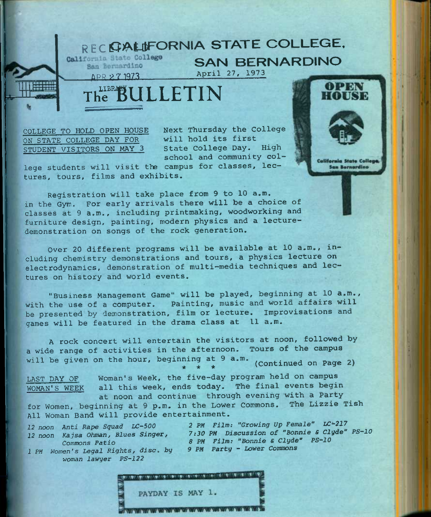## RECERALIFORNIA STATE COLLEGE.

**SAIN BER**<br>April 27, 1973

SAN BERNARDINO

LIBRATE ULLETIN

COLLEGE TO HOLD OPEN HOUSE ON STATE COLLEGE DAY FOR STUDENT VISITORS ON MAY 3

Next Thursday the College will hold its first State College Day. High school and community col-

lege students will visit the campus for classes, lectures, tours, films and exhibits.

Registration will take place from 9 to 10 a.m. in the Gym. For early arrivals there will be a choice of classes at 9 a.m., including printmaking, woodworking and furniture design, painting, modern physics and a lecturedemonstration on songs of the rock generation.

Over 20 different programs will be available at 10 a.m., including chemistry demonstrations and tours, a physics lecture on electrodynamics, demonstration of multi—media techniques and lectures on history and world events.

"Business Management Game" will be played, beginning at 10 a.m., with the use of a computer. Painting, music and world affairs will be presented by demonstration, film or lecture. improvisations and games will be featured in the drama class at 11 a.m.

A rock concert will entertain the visitors at noon, followed by a wide range of activities in the afternoon. Tours of the campus will be given on the hour, beginning at 9 a.m. (continued on Page 2)

**\* \* \*** 

LAST DAY OF WOMAN'S WEEK Woman's Week, the five-day program held on campus all this week, ends today. The final events begin at noon and continue through evening with a Party for Women, beginning at 9 p.m. in the Lower Commons. The Lizzie Tish

All Woman Band will provide entertainment.

*1 PM Women's Legal Rights, disc. by woman lawyer PS-122* 

12 noon Anti Rape Squad LC-500 2 PM Film: "Growing Up Female" LC-217 *12 noon Kajsa Ohman, Blues Singer, 7:30 PM Discussion of "Bonnie S Clyde" PS-10 Commons Patio 8 PM Film: "Bonnie & Clyde" PS-10* 



**California State College San Bernardino** 

OPEN EU KA 5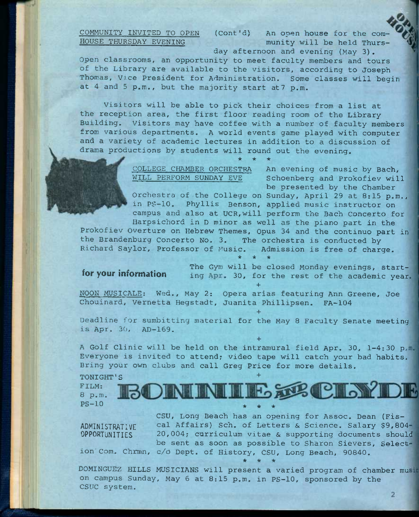COMMUNITY INVITED TO OPEN HOUSE THURSDAY EVENING

(Cont'd) An open house for the com munity will be held Thurs

day afternoon and evening (May 3). Open classrooms, an opportunity to meet faculty members and tours of the Library are available to the visitors, according to Joseph Thomas, Vice President for Administration. Some classes will begin at 4 and 5 p.m., but the majority start at? p.m.

Visitors will be able to pick their choices from a list at the reception area, the first floor reading room of the Library Building. Visitors may have coffee with a number of faculty members from various departments. A world events game played with computer and a variety of academic lectures in addition to a discussion of drama productions by students will round out the evening.

**\* \* \*** 

WILL PERFORM SUNDAY EVE

COLLEGE CHAMBER ORCHESTRA An evening of music by Bach, Schoenberg and Prokofiev will be presented by the Chamber

Orchestra of the College on Sunday, April 29 at 8:15 p.m., in PS-10. Phyllis Benson, applied music instructor on campus and also at UCR,will perform the Bach Concerto for Harpsichord in D minor as well as the piano part in the

Prokofiev Overture on Hebrew Themes, Opus 34 and the continuo part in the Brandenburg Concerto No. 3, The orchestra is conducted by Richard Saylor, Professor of Music. Admission is free of charge.<br>\* \* \*

The Gym will be closed Monday evenings, startfor your information ing Apr. 30, for the rest of the academic year **+** 

NOON MUSICALE: Wed., May 2: Opera arias featuring Ann Greene, Joe Chouinard, Vernetta Hegstadt, Juanita Phillipsen. FA-104

Deadline for sumbitting material for the May 8 Faculty Senate meeting is Apr. 30, AD-169.

**+** 

**+** 

**+** 

**\* \* \*** 

A Golf Clinic will be held on the intramural field Apr. 30, 1-4:30 p.m. Everyone is invited to attend; video tape will catch your bad habits. Bring your own clubs and call Greg Price for more details.

TONIGHT'S BOININILE SE CINTOE FILM: 8 p.m. PS-10

ADMINISTRATIVE OPPORTUNITIES

CSU, Long Beach has an opening for Assoc. Dean (Fiscal Affairs) Sch. of Letters & Science. Salary \$9,804 20,004; curriculum vitae & supporting documents should be sent as soon as possible to Sharon Sievers, Selection' Com. Chrmn, c/o Dept. of History, CSU, Long Beach, 90840. **\* \* \*** 

DOMINGUEZ HILLS MUSICIANS will present a varied program of chamber mu on campus Sunday, May 6 at 8:15 p.m. in PS-10, sponsored by the CSUC system.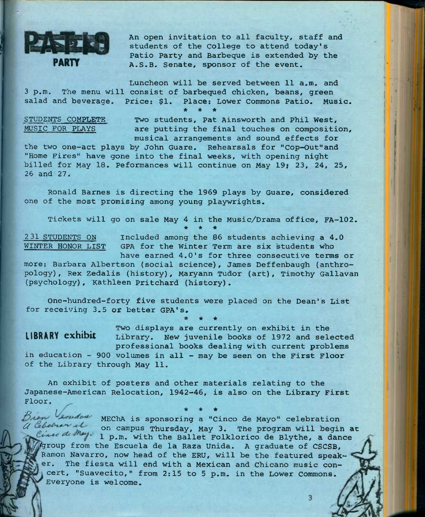

An open invitation to all faculty, staff and students of the College to attend today's Patio Party and Barbeque is extended by the A.S.B. Senate, sponsor of the event.

Luncheon will be served between 11 a.m. and 3 p.m. The menu will consist of barbequed chicken, beans, green salad and beverage. Price; \$1. Place: Lower Commons Patio. Music.

**\* \* \*** 

STUDENTS COMPLETE Two students, Pat Ainsworth and Phil West,<br>MUSIC FOR PLAYS are putting the final touches on compositi are putting the final touches on composition, musical arrangements and sound effects for

the two one-act plays by John Guare. Rehearsals for "Cop-Out"and "Home Fires" have gone into the final weeks, with opening night billed for May 18. Peformances will continue on May 19; 23, 24, 25, 26 and *21i* 

Ronald Barnes is directing the 1969 plays by Guare, considered one of the most promising among young playwrights.

Tickets will go on sale May 4 in the Music/Drama office, FA-102. **\* \* \*** 

231 STUDENTS ON Included among the 86 students achieving a 4.0<br>WINTER HONOR LIST GPA for the Winter Term are six students who GPA for the Winter Term are six students who

have earned 4.0's for three consecutive terms or more: Barbara Albertson (social science), James Deffenbaugh (anthropology) , Rex Zedalis (history), Maryann Tudor (art), Timothy Gallavan (psychology), Kathleen Pritchard (history).

One-hundred-forty five students were placed on the Dean's List for receiving 3.5 or better GPA's.

Two displays are currently on exhibit in the **LIBRARY exhibit** Library. New juvenile books of 1972 and selected professional books dealing with current problems

3

4r 4r

in education - 900 volumes in all - may be seen on the First Floor of the Library through May 11.

An exhibit of posters and other materials relating to the Japanese-American Relocation, 1942-46, is also on the Library First Floor,

*B <i>i <i>x* **<b>***\* \* x i x x x x x x x x x x x x x x x x x x x x x x x x x x x x x x* Drew Loudow MEChA is sponsoring a "Cinco de Mayo" celebration<br> *a Gletner et* on campus Thursday, May 3. The program will begin at Cine de May. 1 p.m. with the Ballet Folklorico de Blythe, a dance fgroup from the Escuela de la Raza Unida. A graduate of CSCSB, Ramon Navarro, now head of the ERU, will be the featured speaker. The fiesta will end with a Mexican and chicano music concert, "Suavecito," from 2:15 to 5 p.m. in the Lower commons. Everyone is welcome.